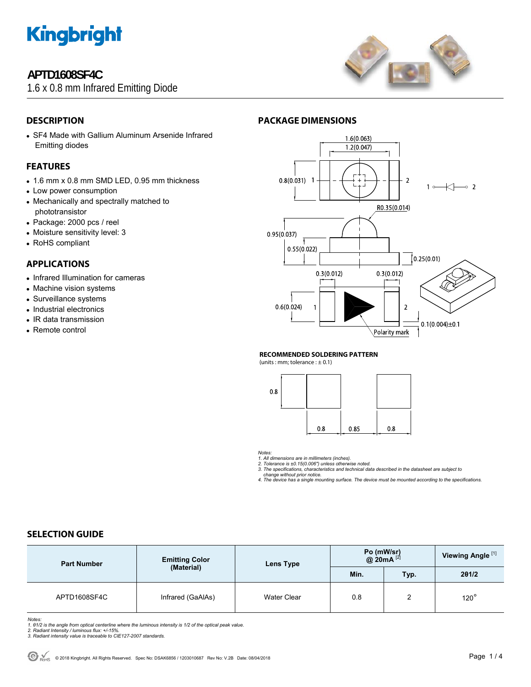

# **APTD1608SF4C**

1.6 x 0.8 mm Infrared Emitting Diode



# **DESCRIPTION**

• SF4 Made with Gallium Aluminum Arsenide Infrared Emitting diodes

## **FEATURES**

- 1.6 mm x 0.8 mm SMD LED, 0.95 mm thickness
- Low power consumption
- Mechanically and spectrally matched to phototransistor
- Package: 2000 pcs / reel
- Moisture sensitivity level: 3
- RoHS compliant

## **APPLICATIONS**

- Infrared Illumination for cameras
- Machine vision systems
- Surveillance systems
- Industrial electronics
- IR data transmission
- Remote control



#### **RECOMMENDED SOLDERING PATTERN**

(units : mm; tolerance  $: \pm 0.1$ )



*Notes:* 

*1. All dimensions are in millimeters (inches). 2. Tolerance is ±0.15(0.006") unless otherwise noted.* 

*3. The specifications, characteristics and technical data described in the datasheet are subject to change without prior notice.* 

*4. The device has a single mounting surface. The device must be mounted according to the specifications.* 

# **SELECTION GUIDE**

| <b>Part Number</b> | <b>Emitting Color</b><br>(Material) | Lens Type   | Po (mW/sr)<br>@ 20mA $^{[2]}$ |      | Viewing Angle <sup>[1]</sup> |
|--------------------|-------------------------------------|-------------|-------------------------------|------|------------------------------|
|                    |                                     |             | Min.                          | Typ. | 201/2                        |
| APTD1608SF4C       | Infrared (GaAlAs)                   | Water Clear | 0.8                           | ົ    | $120^\circ$                  |

*Notes:* 

- 
- 

<sup>1. 01/2</sup> is the angle from optical centerline where the luminous intensity is 1/2 of the optical peak value.<br>2. Radiant Intensity / luminous flux: +/-15%.<br>3. Radiant intensity value is traceable to CIE127-2007 standards.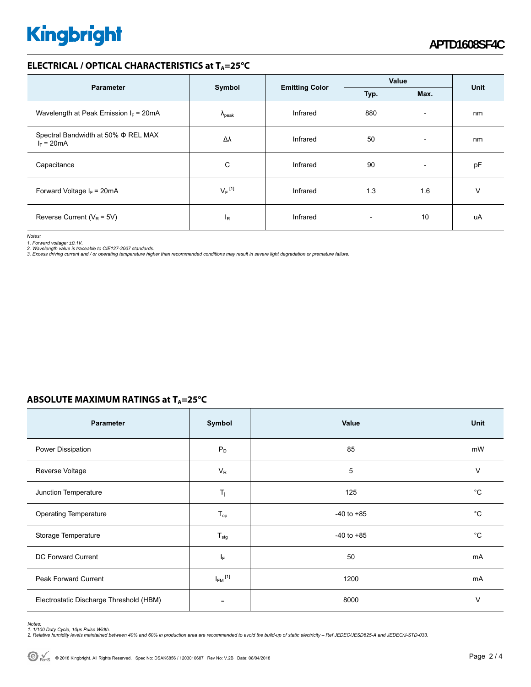# **Kingbright**

### **ELECTRICAL / OPTICAL CHARACTERISTICS at TA=25°C**

| <b>Parameter</b>                                         | Symbol               |                       | Value |                          | Unit |
|----------------------------------------------------------|----------------------|-----------------------|-------|--------------------------|------|
|                                                          |                      | <b>Emitting Color</b> | Typ.  | Max.                     |      |
| Wavelength at Peak Emission $I_F$ = 20mA                 | $\Lambda_{\rm peak}$ | Infrared              | 880   | $\overline{\phantom{a}}$ | nm   |
| Spectral Bandwidth at 50% $\Phi$ REL MAX<br>$I_F = 20mA$ | Δλ                   | Infrared              | 50    | $\overline{\phantom{a}}$ | nm   |
| Capacitance                                              | C                    | Infrared              | 90    | $\overline{\phantom{a}}$ | pF   |
| Forward Voltage $I_F = 20mA$                             | $V_F$ <sup>[1]</sup> | Infrared              | 1.3   | 1.6                      | V    |
| Reverse Current ( $V_R$ = 5V)                            | ΙŖ                   | Infrared              |       | 10                       | uA   |

*Notes:* 

1. Forward voltage: ±0.1V.<br>2. Wavelength value is traceable to CIE127-2007 standards.<br>3. Excess driving current and / or operating temperature higher than recommended conditions may result in severe light degradation or pr

### **ABSOLUTE MAXIMUM RATINGS at T<sub>A</sub>=25°C**

| <b>Parameter</b>                        | Symbol                   | Value          | <b>Unit</b> |
|-----------------------------------------|--------------------------|----------------|-------------|
| Power Dissipation                       | $P_D$                    | 85             | mW          |
| Reverse Voltage                         | $V_R$                    | 5              | $\vee$      |
| Junction Temperature                    | $T_j$                    | 125            | $^{\circ}C$ |
| <b>Operating Temperature</b>            | $T_{op}$                 | $-40$ to $+85$ | $^{\circ}C$ |
| Storage Temperature                     | $T_{\text{stg}}$         | $-40$ to $+85$ | $^{\circ}C$ |
| DC Forward Current                      | IF.                      | 50             | mA          |
| Peak Forward Current                    | $I_{FM}$ <sup>[1]</sup>  | 1200           | mA          |
| Electrostatic Discharge Threshold (HBM) | $\overline{\phantom{0}}$ | 8000           | V           |

*Notes:* 

1. 1/100 Duty Cycle, 10µs Pulse Width.<br>2. Relative humidity levels maintained between 40% and 60% in production area are recommended to avoid the build-up of static electricity – Ref JEDEC/JESD625-A and JEDEC/J-STD-033.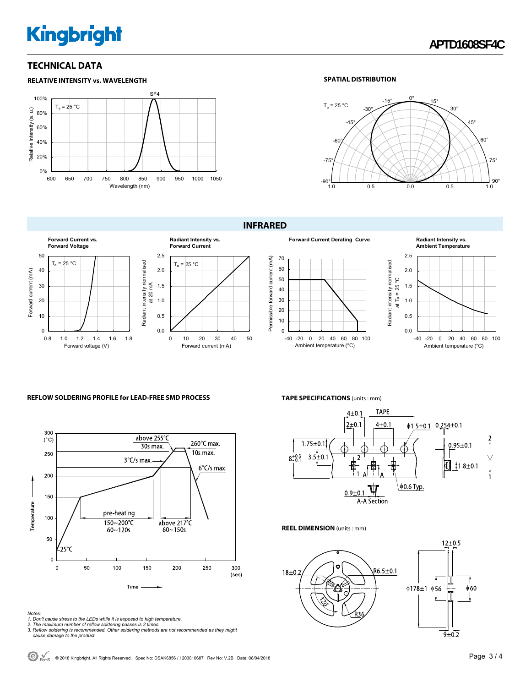# **Kingbright**

**RELATIVE INTENSITY vs. WAVELENGTH**

### **TECHNICAL DATA**

#### SF4 100%  $T_a = 25 °C$ Relative Intensity (a. u.) Relative Intensity (a. u.) 80% 60% 40% 20% 0% 600 650 700 750 800 850 900 950 1000 1050 Wavelength (nm)

#### **SPATIAL DISTRIBUTION**



**INFRARED** 









#### **REFLOW SOLDERING PROFILE for LEAD-FREE SMD PROCESS**



# **TAPE SPECIFICATIONS** (units : mm)



#### **REEL DIMENSION** (units : mm)



*Notes:* 

- 
- 
- 1. Don't cause stress to the LEDs while it is exposed to high temperature.<br>2. The maximum number of reflow soldering passes is 2 times.<br>3. Reflow soldering is recommended. Other soldering methods are not recommended as the